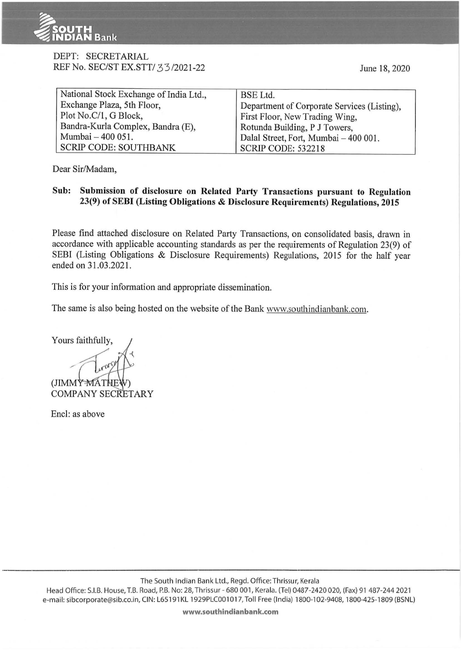

# DEPT: SECRETARIAL REF No. SEC/ST EX.STT/ 33/2021-22

| National Stock Exchange of India Ltd., | <b>BSE</b> Ltd.                             |
|----------------------------------------|---------------------------------------------|
| Exchange Plaza, 5th Floor,             | Department of Corporate Services (Listing), |
| Plot No.C/1, G Block,                  | First Floor, New Trading Wing,              |
| Bandra-Kurla Complex, Bandra (E),      | Rotunda Building, P J Towers,               |
| Mumbai - 400 051.                      | Dalal Street, Fort, Mumbai - 400 001.       |
| <b>SCRIP CODE: SOUTHBANK</b>           | <b>SCRIP CODE: 532218</b>                   |

Dear Sir/Madam,

# Sub: Submission of disclosure on Related Party Transactions pursuant to Regulation 23(9) of SEBI (Listing Obligations & Disclosure Requirements) Regulations, 2015

Please find attached disclosure on Related Party Transactions, on consolidated basis, drawn in accordance with applicable accounting standards as per the requirements of Regulation 23(9) of SEBI (Listing Obligations & Disclosure Requirements) Regulations, 2015 for the half year ended on 31.03.2021.

This is for your information and appropriate dissemination.

The same is also being hosted on the website of the Bank www.southindianbank.com.

Yours faithfully, (JIMMY MATH **COMPANY SECRETARY** 

Encl: as above

The South Indian Bank Ltd., Regd. Office: Thrissur, Kerala

Head Office: S.I.B. House, T.B. Road, P.B. No: 28, Thrissur - 680 001, Kerala. (Tel) 0487-2420 020, (Fax) 91 487-244 2021 e-mail: sibcorporate@sib.co.in, CIN: L65 191 KL 1929PLC001 017, Toll Free (India) 1800-102-9408, 1800-425-1809 (BSNL)

www.southindianbank.com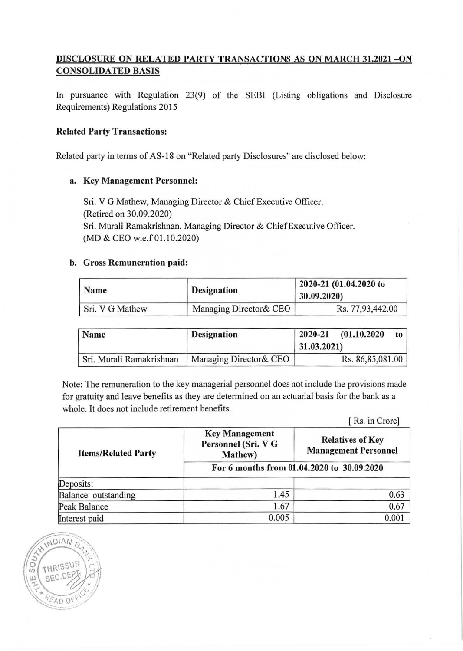# DISCLOSURE ON RELATED PARTY TRANSACTIONS AS ON MARCH 31,2021 - ON CONSOLIDATED BASIS

In pursuance with Regulation 23(9) of the SEBI (Listing obligations and Disclosure Requirements) Regulations 2015

#### Related Party Transactions:

Related party in terms of AS-18 on "Related party Disclosures" are disclosed below:

## a. Key Management Personnel:

Sri. V G Mathew, Managing Director & Chief Executive Officer. (Retired on 30.09.2020) Sri. Murali Ramakrishnan, Managing Director & Chief Executive Officer. (MD & CEO w.e.f 01.10.2020)

## b. Gross Remuneration paid:

NDIAN

EAD O

| Name            | <b>Designation</b>      | 2020-21 (01.04.2020 to<br>30.09.2020) |
|-----------------|-------------------------|---------------------------------------|
| Sri. V G Mathew | Managing Director & CEO | Rs. 77,93,442.00                      |

| Name                     | <b>Designation</b>      | 2020-21 (01.10.2020<br>$\mathbf{t}$<br>31.03.2021 |
|--------------------------|-------------------------|---------------------------------------------------|
| Sri. Murali Ramakrishnan | Managing Director & CEO | Rs. 86,85,081.00                                  |

Note: The remuneration to the key managerial personnel does not include the provisions made for gratuity and leave benefits as they are determined on an actuarial basis for the bank as a whole. It does not include retirement benefits.

[ Rs. in Crore]

| <b>Items/Related Party</b> | <b>Key Management</b><br>Personnel (Sri. V G<br>Mathew) | <b>Relatives of Key</b><br><b>Management Personnel</b> |
|----------------------------|---------------------------------------------------------|--------------------------------------------------------|
|                            | For 6 months from 01.04.2020 to 30.09.2020              |                                                        |
| Deposits:                  |                                                         |                                                        |
| Balance outstanding        | 1.45                                                    | 0.63                                                   |
| Peak Balance               | 1.67                                                    | 0.67                                                   |
| Interest paid              | 0.005                                                   | 0.001                                                  |